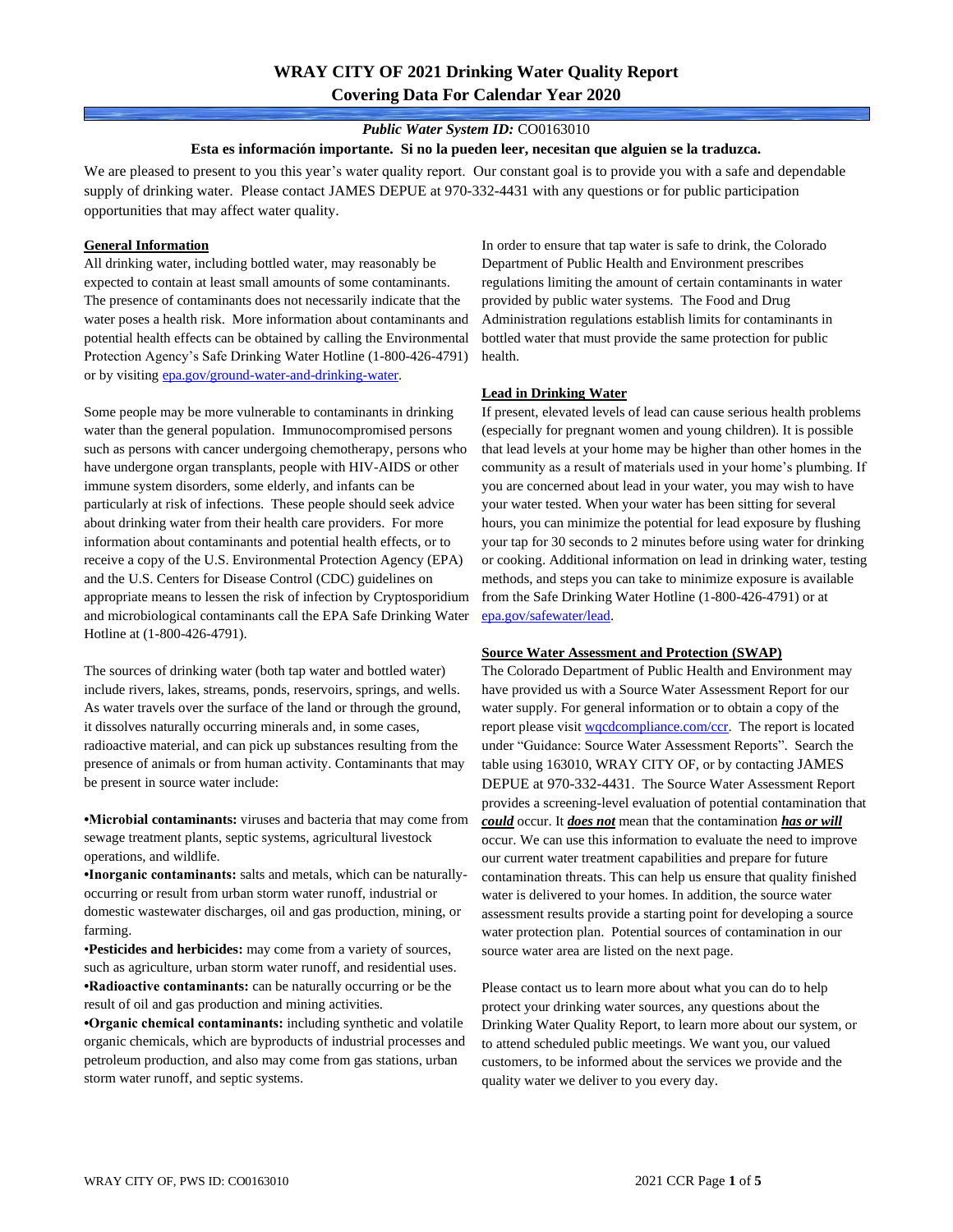## **WRAY CITY OF 2021 Drinking Water Quality Report Covering Data For Calendar Year 2020**

### *Public Water System ID:* CO0163010

#### **Esta es información importante. Si no la pueden leer, necesitan que alguien se la traduzca.**

We are pleased to present to you this year's water quality report. Our constant goal is to provide you with a safe and dependable supply of drinking water. Please contact JAMES DEPUE at 970-332-4431 with any questions or for public participation opportunities that may affect water quality.

#### **General Information**

All drinking water, including bottled water, may reasonably be expected to contain at least small amounts of some contaminants. The presence of contaminants does not necessarily indicate that the water poses a health risk. More information about contaminants and potential health effects can be obtained by calling the Environmental Protection Agency's Safe Drinking Water Hotline (1-800-426-4791) or by visiting [epa.gov/ground-water-and-drinking-water.](https://www.epa.gov/ground-water-and-drinking-water)

Some people may be more vulnerable to contaminants in drinking water than the general population. Immunocompromised persons such as persons with cancer undergoing chemotherapy, persons who have undergone organ transplants, people with HIV-AIDS or other immune system disorders, some elderly, and infants can be particularly at risk of infections. These people should seek advice about drinking water from their health care providers. For more information about contaminants and potential health effects, or to receive a copy of the U.S. Environmental Protection Agency (EPA) and the U.S. Centers for Disease Control (CDC) guidelines on appropriate means to lessen the risk of infection by Cryptosporidium and microbiological contaminants call the EPA Safe Drinking Water Hotline at (1-800-426-4791).

The sources of drinking water (both tap water and bottled water) include rivers, lakes, streams, ponds, reservoirs, springs, and wells. As water travels over the surface of the land or through the ground, it dissolves naturally occurring minerals and, in some cases, radioactive material, and can pick up substances resulting from the presence of animals or from human activity. Contaminants that may be present in source water include:

**•Microbial contaminants:** viruses and bacteria that may come from sewage treatment plants, septic systems, agricultural livestock operations, and wildlife.

**•Inorganic contaminants:** salts and metals, which can be naturallyoccurring or result from urban storm water runoff, industrial or domestic wastewater discharges, oil and gas production, mining, or farming.

•**Pesticides and herbicides:** may come from a variety of sources, such as agriculture, urban storm water runoff, and residential uses. **•Radioactive contaminants:** can be naturally occurring or be the result of oil and gas production and mining activities.

**•Organic chemical contaminants:** including synthetic and volatile organic chemicals, which are byproducts of industrial processes and petroleum production, and also may come from gas stations, urban storm water runoff, and septic systems.

In order to ensure that tap water is safe to drink, the Colorado Department of Public Health and Environment prescribes regulations limiting the amount of certain contaminants in water provided by public water systems. The Food and Drug Administration regulations establish limits for contaminants in bottled water that must provide the same protection for public health.

#### **Lead in Drinking Water**

If present, elevated levels of lead can cause serious health problems (especially for pregnant women and young children). It is possible that lead levels at your home may be higher than other homes in the community as a result of materials used in your home's plumbing. If you are concerned about lead in your water, you may wish to have your water tested. When your water has been sitting for several hours, you can minimize the potential for lead exposure by flushing your tap for 30 seconds to 2 minutes before using water for drinking or cooking. Additional information on lead in drinking water, testing methods, and steps you can take to minimize exposure is available from the Safe Drinking Water Hotline (1-800-426-4791) or at [epa.gov/safewater/lead.](http://www.epa.gov/safewater/lead) 

#### **Source Water Assessment and Protection (SWAP)**

The Colorado Department of Public Health and Environment may have provided us with a Source Water Assessment Report for our water supply. For general information or to obtain a copy of the report please visit [wqcdcompliance.com/ccr.](https://wqcdcompliance.com/ccr) The report is located under "Guidance: Source Water Assessment Reports". Search the table using 163010, WRAY CITY OF, or by contacting JAMES DEPUE at 970-332-4431. The Source Water Assessment Report provides a screening-level evaluation of potential contamination that *could* occur. It *does not* mean that the contamination *has or will* occur. We can use this information to evaluate the need to improve our current water treatment capabilities and prepare for future contamination threats. This can help us ensure that quality finished water is delivered to your homes. In addition, the source water assessment results provide a starting point for developing a source water protection plan. Potential sources of contamination in our source water area are listed on the next page.

Please contact us to learn more about what you can do to help protect your drinking water sources, any questions about the Drinking Water Quality Report, to learn more about our system, or to attend scheduled public meetings. We want you, our valued customers, to be informed about the services we provide and the quality water we deliver to you every day.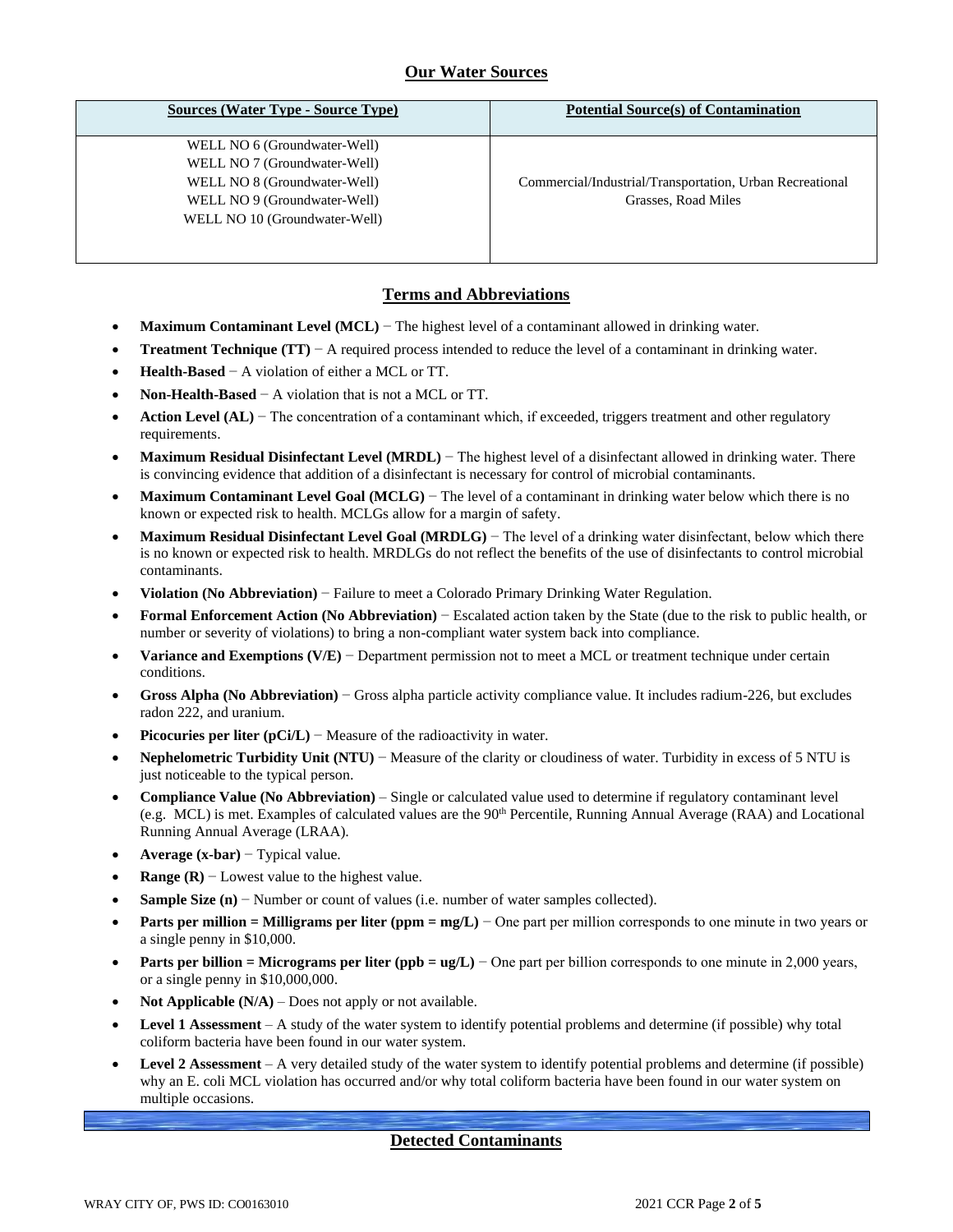# **Our Water Sources**

| <b>Sources (Water Type - Source Type)</b> | <b>Potential Source(s) of Contamination</b>              |
|-------------------------------------------|----------------------------------------------------------|
| WELL NO 6 (Groundwater-Well)              |                                                          |
| WELL NO 7 (Groundwater-Well)              |                                                          |
| WELL NO 8 (Groundwater-Well)              | Commercial/Industrial/Transportation, Urban Recreational |
| WELL NO 9 (Groundwater-Well)              | Grasses, Road Miles                                      |
| WELL NO 10 (Groundwater-Well)             |                                                          |
|                                           |                                                          |
|                                           |                                                          |

## **Terms and Abbreviations**

- **Maximum Contaminant Level (MCL)** − The highest level of a contaminant allowed in drinking water.
- **Treatment Technique (TT)** − A required process intended to reduce the level of a contaminant in drinking water.
- **Health-Based** − A violation of either a MCL or TT.
- **Non-Health-Based** − A violation that is not a MCL or TT.
- **Action Level (AL)** − The concentration of a contaminant which, if exceeded, triggers treatment and other regulatory requirements.
- **Maximum Residual Disinfectant Level (MRDL)** − The highest level of a disinfectant allowed in drinking water. There is convincing evidence that addition of a disinfectant is necessary for control of microbial contaminants.
- **Maximum Contaminant Level Goal (MCLG)** − The level of a contaminant in drinking water below which there is no known or expected risk to health. MCLGs allow for a margin of safety.
- **Maximum Residual Disinfectant Level Goal (MRDLG)** − The level of a drinking water disinfectant, below which there is no known or expected risk to health. MRDLGs do not reflect the benefits of the use of disinfectants to control microbial contaminants.
- **Violation (No Abbreviation)** − Failure to meet a Colorado Primary Drinking Water Regulation.
- **Formal Enforcement Action (No Abbreviation)** − Escalated action taken by the State (due to the risk to public health, or number or severity of violations) to bring a non-compliant water system back into compliance.
- **Variance and Exemptions (V/E)** − Department permission not to meet a MCL or treatment technique under certain conditions.
- **Gross Alpha (No Abbreviation)** − Gross alpha particle activity compliance value. It includes radium-226, but excludes radon 222, and uranium.
- **Picocuries per liter (pCi/L)** Measure of the radioactivity in water.
- **Nephelometric Turbidity Unit (NTU)** − Measure of the clarity or cloudiness of water. Turbidity in excess of 5 NTU is just noticeable to the typical person.
- **Compliance Value (No Abbreviation)** Single or calculated value used to determine if regulatory contaminant level (e.g. MCL) is met. Examples of calculated values are the  $90<sup>th</sup>$  Percentile, Running Annual Average (RAA) and Locational Running Annual Average (LRAA).
- **Average (x-bar)** − Typical value.
- **Range (R)**  $-$  Lowest value to the highest value.
- **Sample Size (n)** − Number or count of values (i.e. number of water samples collected).
- **Parts per million = Milligrams per liter (ppm = mg/L)** − One part per million corresponds to one minute in two years or a single penny in \$10,000.
- **Parts per billion = Micrograms per liter (ppb = ug/L)** − One part per billion corresponds to one minute in 2,000 years, or a single penny in \$10,000,000.
- **Not Applicable**  $(N/A)$  Does not apply or not available.
- **Level 1 Assessment** A study of the water system to identify potential problems and determine (if possible) why total coliform bacteria have been found in our water system.
- **Level 2 Assessment** A very detailed study of the water system to identify potential problems and determine (if possible) why an E. coli MCL violation has occurred and/or why total coliform bacteria have been found in our water system on multiple occasions.

### **Detected Contaminants**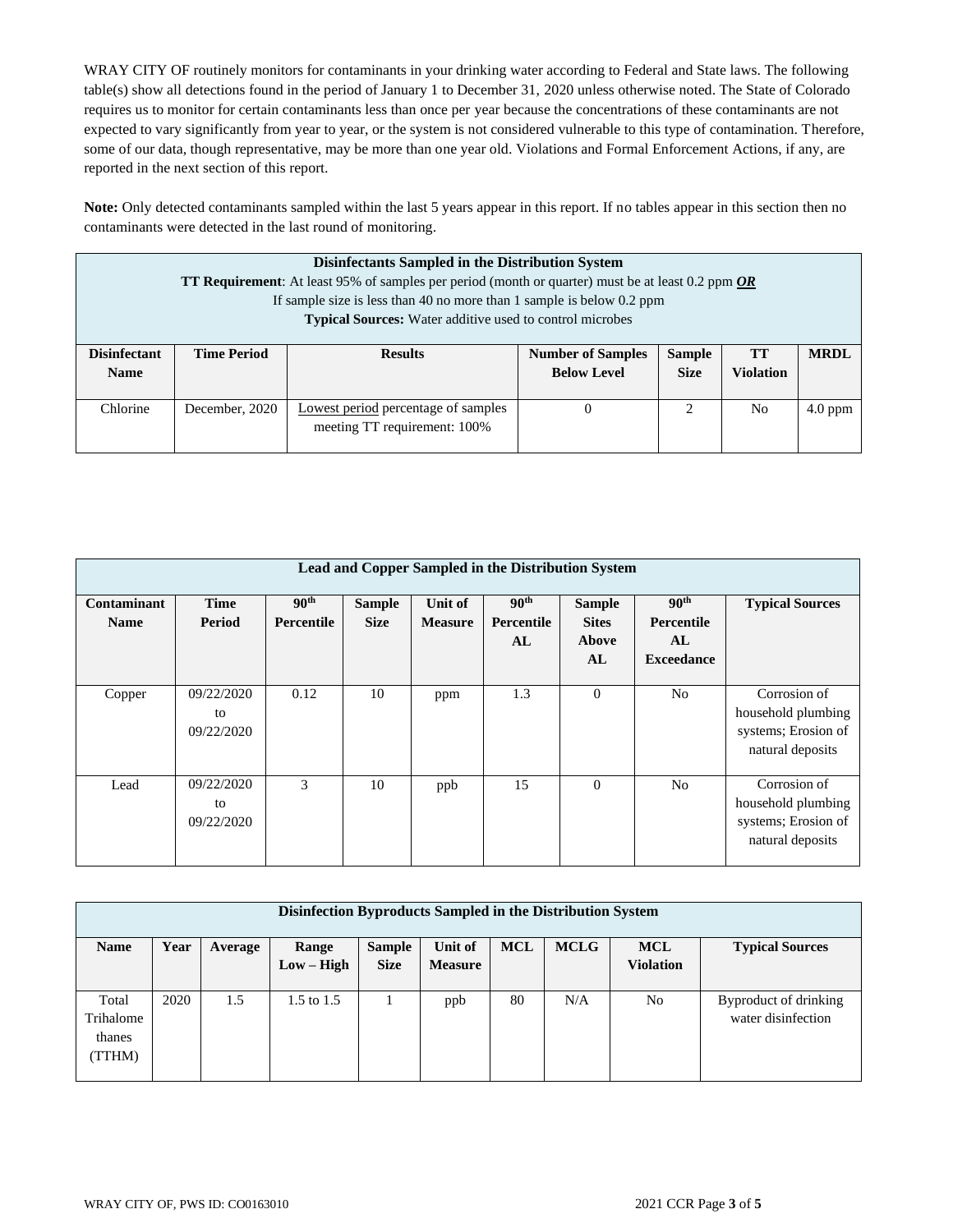WRAY CITY OF routinely monitors for contaminants in your drinking water according to Federal and State laws. The following table(s) show all detections found in the period of January 1 to December 31, 2020 unless otherwise noted. The State of Colorado requires us to monitor for certain contaminants less than once per year because the concentrations of these contaminants are not expected to vary significantly from year to year, or the system is not considered vulnerable to this type of contamination. Therefore, some of our data, though representative, may be more than one year old. Violations and Formal Enforcement Actions, if any, are reported in the next section of this report.

**Note:** Only detected contaminants sampled within the last 5 years appear in this report. If no tables appear in this section then no contaminants were detected in the last round of monitoring.

| Disinfectants Sampled in the Distribution System<br><b>TT Requirement:</b> At least 95% of samples per period (month or quarter) must be at least 0.2 ppm OR<br>If sample size is less than 40 no more than 1 sample is below 0.2 ppm<br><b>Typical Sources:</b> Water additive used to control microbes |                    |                                                                     |                                                |                                                                                                                                                                 |                               |             |  |  |  |
|----------------------------------------------------------------------------------------------------------------------------------------------------------------------------------------------------------------------------------------------------------------------------------------------------------|--------------------|---------------------------------------------------------------------|------------------------------------------------|-----------------------------------------------------------------------------------------------------------------------------------------------------------------|-------------------------------|-------------|--|--|--|
| <b>Disinfectant</b><br><b>Name</b>                                                                                                                                                                                                                                                                       | <b>Time Period</b> | <b>Results</b>                                                      | <b>Number of Samples</b><br><b>Below Level</b> | <b>Sample</b><br><b>Size</b>                                                                                                                                    | <b>TT</b><br><b>Violation</b> | <b>MRDL</b> |  |  |  |
| Chlorine                                                                                                                                                                                                                                                                                                 | December, 2020     | Lowest period percentage of samples<br>meeting TT requirement: 100% | $\theta$                                       | $\mathcal{D}_{\mathcal{A}}^{\mathcal{A}}(\mathcal{A})=\mathcal{D}_{\mathcal{A}}^{\mathcal{A}}(\mathcal{A})\mathcal{D}_{\mathcal{A}}^{\mathcal{A}}(\mathcal{A})$ | N <sub>0</sub>                | $4.0$ ppm   |  |  |  |

| Lead and Copper Sampled in the Distribution System |                                |                                       |                              |                           |                                      |                                              |                                                                  |                                                                               |  |  |
|----------------------------------------------------|--------------------------------|---------------------------------------|------------------------------|---------------------------|--------------------------------------|----------------------------------------------|------------------------------------------------------------------|-------------------------------------------------------------------------------|--|--|
| Contaminant<br><b>Name</b>                         | <b>Time</b><br>Period          | 90 <sup>th</sup><br><b>Percentile</b> | <b>Sample</b><br><b>Size</b> | Unit of<br><b>Measure</b> | 90 <sup>th</sup><br>Percentile<br>AL | <b>Sample</b><br><b>Sites</b><br>Above<br>AL | 90 <sup>th</sup><br><b>Percentile</b><br>AL<br><b>Exceedance</b> | <b>Typical Sources</b>                                                        |  |  |
| Copper                                             | 09/22/2020<br>to<br>09/22/2020 | 0.12                                  | 10                           | ppm                       | 1.3                                  | $\theta$                                     | N <sub>0</sub>                                                   | Corrosion of<br>household plumbing<br>systems; Erosion of<br>natural deposits |  |  |
| Lead                                               | 09/22/2020<br>to<br>09/22/2020 | 3                                     | 10                           | ppb                       | 15                                   | $\Omega$                                     | N <sub>o</sub>                                                   | Corrosion of<br>household plumbing<br>systems; Erosion of<br>natural deposits |  |  |

| Disinfection Byproducts Sampled in the Distribution System |      |         |                |               |                |            |             |                  |                        |
|------------------------------------------------------------|------|---------|----------------|---------------|----------------|------------|-------------|------------------|------------------------|
| <b>Name</b>                                                | Year | Average | Range          | <b>Sample</b> | Unit of        | <b>MCL</b> | <b>MCLG</b> | <b>MCL</b>       | <b>Typical Sources</b> |
|                                                            |      |         | $Low - High$   | <b>Size</b>   | <b>Measure</b> |            |             | <b>Violation</b> |                        |
|                                                            |      |         |                |               |                |            |             |                  |                        |
| Total                                                      | 2020 | 1.5     | $1.5$ to $1.5$ |               | ppb            | 80         | N/A         | N <sub>o</sub>   | Byproduct of drinking  |
| Trihalome                                                  |      |         |                |               |                |            |             |                  | water disinfection     |
| thanes                                                     |      |         |                |               |                |            |             |                  |                        |
| TTHM)                                                      |      |         |                |               |                |            |             |                  |                        |
|                                                            |      |         |                |               |                |            |             |                  |                        |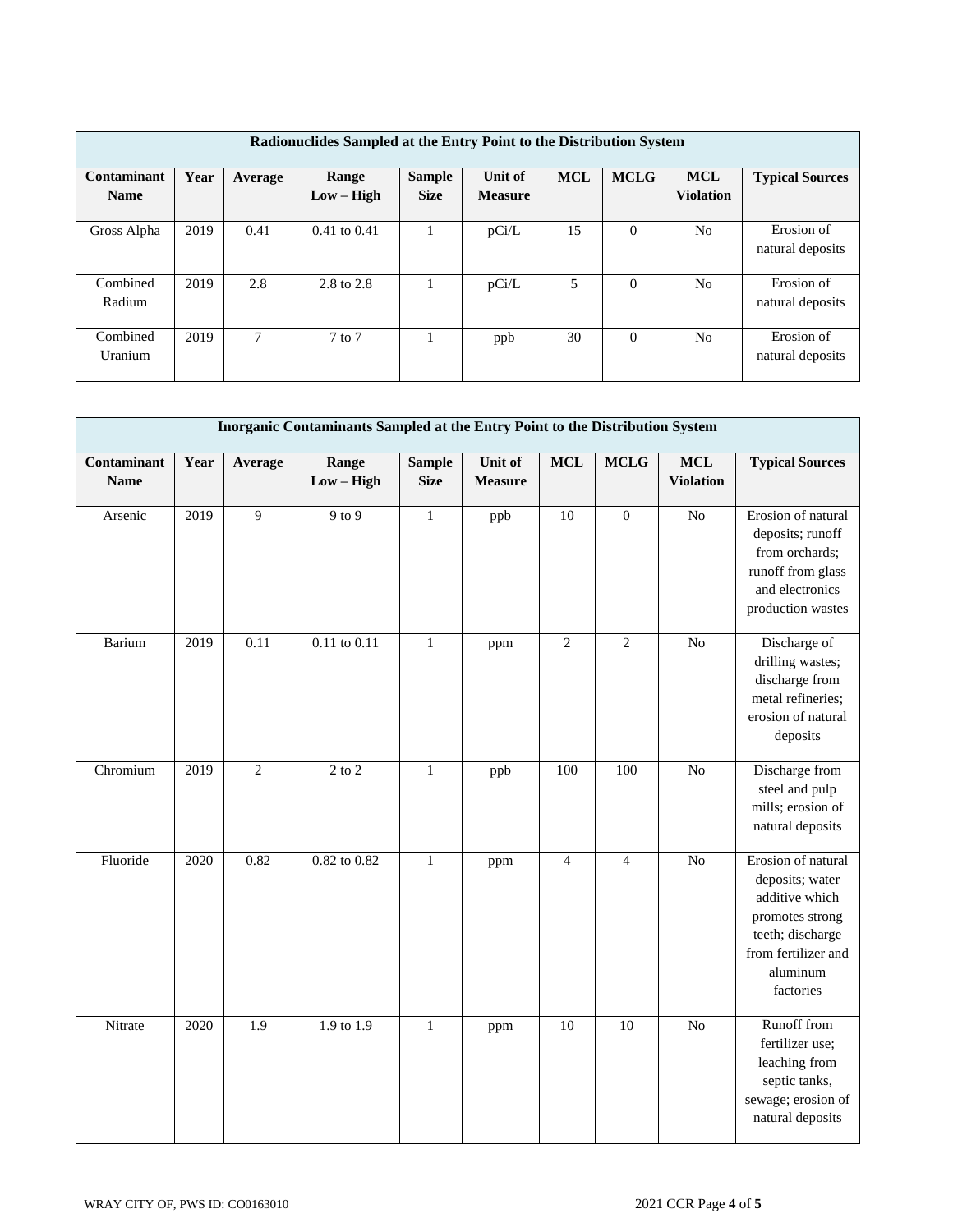| Radionuclides Sampled at the Entry Point to the Distribution System |      |         |                       |                              |                           |            |             |                                |                                |  |
|---------------------------------------------------------------------|------|---------|-----------------------|------------------------------|---------------------------|------------|-------------|--------------------------------|--------------------------------|--|
| Contaminant<br><b>Name</b>                                          | Year | Average | Range<br>$Low - High$ | <b>Sample</b><br><b>Size</b> | Unit of<br><b>Measure</b> | <b>MCL</b> | <b>MCLG</b> | <b>MCL</b><br><b>Violation</b> | <b>Typical Sources</b>         |  |
|                                                                     |      |         |                       |                              |                           |            |             |                                |                                |  |
| Gross Alpha                                                         | 2019 | 0.41    | $0.41$ to $0.41$      |                              | pCi/L                     | 15         | $\Omega$    | No                             | Erosion of<br>natural deposits |  |
| Combined<br>Radium                                                  | 2019 | 2.8     | 2.8 to 2.8            |                              | pCi/L                     | 5          | $\Omega$    | N <sub>0</sub>                 | Erosion of<br>natural deposits |  |
| Combined<br>Uranium                                                 | 2019 | 7       | $7$ to $7$            |                              | ppb                       | 30         | $\Omega$    | N <sub>0</sub>                 | Erosion of<br>natural deposits |  |

| Inorganic Contaminants Sampled at the Entry Point to the Distribution System |      |                |                       |                              |                           |                 |                |                                |                                                                                                                                                |  |
|------------------------------------------------------------------------------|------|----------------|-----------------------|------------------------------|---------------------------|-----------------|----------------|--------------------------------|------------------------------------------------------------------------------------------------------------------------------------------------|--|
| Contaminant<br><b>Name</b>                                                   | Year | Average        | Range<br>$Low - High$ | <b>Sample</b><br><b>Size</b> | Unit of<br><b>Measure</b> | <b>MCL</b>      | <b>MCLG</b>    | <b>MCL</b><br><b>Violation</b> | <b>Typical Sources</b>                                                                                                                         |  |
| Arsenic                                                                      | 2019 | $\overline{9}$ | 9 to 9                | $\mathbf{1}$                 | ppb                       | $\overline{10}$ | $\mathbf{0}$   | $\overline{No}$                | Erosion of natural<br>deposits; runoff<br>from orchards;<br>runoff from glass<br>and electronics<br>production wastes                          |  |
| Barium                                                                       | 2019 | 0.11           | $0.11$ to $0.11$      | $\mathbf{1}$                 | ppm                       | $\overline{c}$  | $\mathbf{2}$   | N <sub>o</sub>                 | Discharge of<br>drilling wastes;<br>discharge from<br>metal refineries;<br>erosion of natural<br>deposits                                      |  |
| Chromium                                                                     | 2019 | $\overline{2}$ | $2$ to $2$            | $\mathbf{1}$                 | ppb                       | 100             | 100            | N <sub>o</sub>                 | Discharge from<br>steel and pulp<br>mills; erosion of<br>natural deposits                                                                      |  |
| Fluoride                                                                     | 2020 | 0.82           | 0.82 to 0.82          | $\mathbf{1}$                 | ppm                       | $\overline{4}$  | $\overline{4}$ | N <sub>o</sub>                 | Erosion of natural<br>deposits; water<br>additive which<br>promotes strong<br>teeth; discharge<br>from fertilizer and<br>aluminum<br>factories |  |
| Nitrate                                                                      | 2020 | 1.9            | 1.9 to 1.9            | $\mathbf{1}$                 | ppm                       | 10              | 10             | N <sub>o</sub>                 | Runoff from<br>fertilizer use;<br>leaching from<br>septic tanks,<br>sewage; erosion of<br>natural deposits                                     |  |